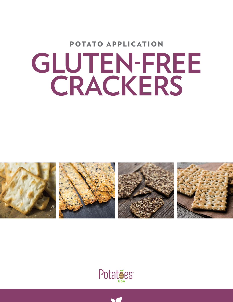# POTATO APPLICATION **GLUTEN-FREE CRACKERS**





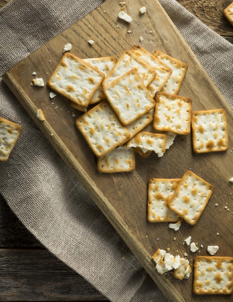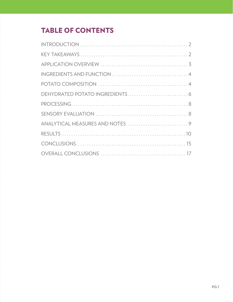## TABLE OF CONTENTS

| ANALYTICAL MEASURES AND NOTES 9 |  |
|---------------------------------|--|
|                                 |  |
|                                 |  |
|                                 |  |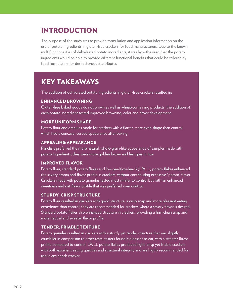### INTRODUCTION

The purpose of the study was to provide formulation and application information on the use of potato ingredients in gluten-free crackers for food manufacturers . Due to the known multifunctionalities of dehydrated potato ingredients, it was hypothesized that the potato ingredients would be able to provide different functional benefits that could be tailored by food formulators for desired product attributes.

### KEY TAKEAWAYS

The addition of dehydrated potato ingredients in gluten-free crackers resulted in:

#### ENHANCED BROWNING

Gluten-free baked goods do not brown as well as wheat-containing products; the addition of each potato ingredient tested improved browning, color and flavor development.

#### MORE UNIFORM SHAPE

Potato flour and granules made for crackers with a flatter, more even shape than control, which had a concave, curved appearance after baking.

#### APPEALING APPEARANCE

Panelists preferred the more natural, whole-grain-like appearance of samples made with potato ingredients; they were more golden brown and less gray in hue.

#### IMPROVED FLAVOR

Potato flour, standard potato flakes and low-peel/low-leach (LP/LL) potato flakes enhanced the savory aroma and flavor profile in crackers, without contributing excessive "potato" flavor . Crackers made with potato granules tasted most similar to control but with an enhanced sweetness and oat flavor profile that was preferred over control.

#### STURDY, CRISP STRUCTURE

Potato flour resulted in crackers with good structure, a crisp snap and more pleasant eating experience than control; they are recommended for crackers where a savory flavor is desired. Standard potato flakes also enhanced structure in crackers, providing a firm clean snap and more neutral and sweeter flavor profile.

#### TENDER, FRIABLE TEXTURE

Potato granules resulted in crackers with a sturdy yet tender structure that was slightly crumblier in comparison to other tests; tasters found it pleasant to eat, with a sweeter flavor profile compared to control. LP/LL potato flakes produced light, crisp yet friable crackers with both excellent eating qualities and structural integrity and are highly recommended for use in any snack cracker.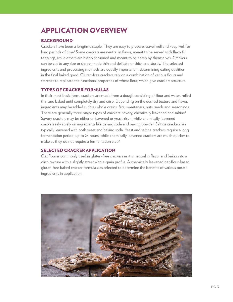### APPLICATION OVERVIEW

#### **BACKGROUND**

Crackers have been a longtime staple . They are easy to prepare, travel well and keep well for long periods of time! Some crackers are neutral in flavor, meant to be served with flavorful toppings, while others are highly seasoned and meant to be eaten by themselves . Crackers can be cut to any size or shape, made thin and delicate or thick and sturdy . The selected ingredients and processing methods are equally important in determining eating qualities in the final baked good. Gluten-free crackers rely on a combination of various flours and starches to replicate the functional properties of wheat flour, which give crackers structure .

#### TYPES OF CRACKER FORMULAS

In their most basic form, crackers are made from a dough consisting of flour and water, rolled thin and baked until completely dry and crisp. Depending on the desired texture and flavor, ingredients may be added such as whole grains, fats, sweeteners, nuts, seeds and seasonings. There are generally three major types of crackers: savory, chemically leavened and saltine? Savory crackers may be either unleavened or yeast-risen, while chemically leavened crackers rely solely on ingredients like baking soda and baking powder . Saltine crackers are typically leavened with both yeast and baking soda . Yeast and saltine crackers require a long fermentation period, up to 24 hours, while chemically leavened crackers are much quicker to make as they do not require a fermentation step.<sup>2</sup>

#### SELECTED CRACKER APPLICATION

Oat flour is commonly used in gluten-free crackers as it is neutral in flavor and bakes into a crisp texture with a slightly sweet whole-grain profile . A chemically leavened oat-flour-based gluten-free baked cracker formula was selected to determine the benefits of various potato ingredients in application.

![](_page_4_Picture_7.jpeg)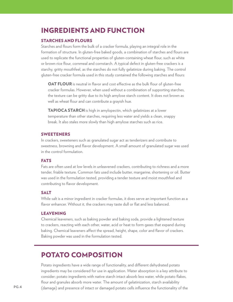### INGREDIENTS AND FUNCTION

#### STARCHES AND FLOURS

Starches and flours form the bulk of a cracker formula, playing an integral role in the formation of structure . In gluten-free baked goods, a combination of starches and flours are used to replicate the functional properties of gluten-containing wheat flour, such as white or brown rice flour, cornmeal and cornstarch . A typical defect in gluten-free crackers is a starchy, gritty mouthfeel, as the starches do not fully gelatinize during baking. The control gluten-free cracker formula used in this study contained the following starches and flours:

OAT FLOUR is neutral in flavor and cost effective as the bulk flour of gluten-free cracker formulas. However, when used without a combination of supporting starches, the texture can be gritty due to its high amylose starch content. It does not brown as well as wheat flour and can contribute a grayish hue.

TAPIOCA STARCH is high in amylopectin, which gelatinizes at a lower temperature than other starches, requiring less water and yields a clean, snappy break . It also stales more slowly than high amylose starches such as rice .

#### **SWEETENERS**

In crackers, sweeteners such as granulated sugar act as tenderizers and contribute to sweetness, browning and flavor development . A small amount of granulated sugar was used in the control formulation.

#### **FATS**

Fats are often used at low levels in unleavened crackers, contributing to richness and a more tender, friable texture. Common fats used include butter, margarine, shortening or oil. Butter was used in the formulation tested, providing a tender texture and moist mouthfeel and contributing to flavor development.

#### SALT

While salt is a minor ingredient in cracker formulas, it does serve an important function as a flavor enhancer. Without it, the crackers may taste dull or flat and less balanced.

#### LEAVENING

Chemical leaveners, such as baking powder and baking soda, provide a lightened texture to crackers, reacting with each other, water, acid or heat to form gases that expand during baking. Chemical leaveners affect the spread, height, shape, color and flavor of crackers. Baking powder was used in the formulation tested.

### POTATO COMPOSITION

Potato ingredients have a wide range of functionality, and different dehydrated potato ingredients may be considered for use in application . Water absorption is a key attribute to consider; potato ingredients with native starch intact absorb less water, while potato flakes, flour and granules absorb more water. The amount of gelatinization, starch availability PG.4 (damage) and presence of intact or damaged potato cells influence the functionality of the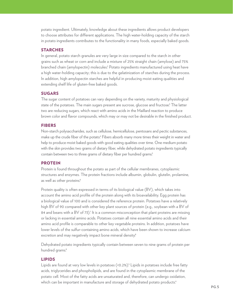potato ingredient. Ultimately, knowledge about these ingredients allows product developers to choose attributes for different applications . The high water-holding capacity of the starch in potato ingredients contributes to the functionality in many foods, especially baked goods .

#### STARCHES

In general, potato starch granules are very large in size compared to the starch in other grains such as wheat or corn and include a mixture of 25% straight chain (amylose) and 75% branched chain (amylopectin) molecules? Potato ingredients manufactured using heat have a high water-holding capacity; this is due to the gelatinization of starches during the process . In addition, high amylopectin starches are helpful in producing moist eating qualities and extending shelf life of gluten-free baked goods.

#### **SUGARS**

The sugar content of potatoes can vary depending on the variety, maturity and physiological state of the potatoes. The main sugars present are sucrose, glucose and fructose<sup>3</sup> The latter two are reducing sugars, which react with amino acids in the Maillard reaction to produce brown color and flavor compounds, which may or may not be desirable in the finished product .

#### FIBERS

Non-starch polysaccharides, such as cellulose, hemicellulose, pentosans and pectic substances, make up the crude fiber of the potato.<sup>4</sup> Fibers absorb many more times their weight in water and help to produce moist baked goods with good eating qualities over time. One medium potato with the skin provides two grams of dietary fiber, while dehydrated potato ingredients typically contain between two to three grams of dietary fiber per hundred grams.<sup>5</sup>

#### PROTEIN

Protein is found throughout the potato as part of the cellular membranes, cytoplasmic structures and enzymes. The protein fractions include albumin, globulin, glutelin, prolamine, as well as other proteins.<sup>6</sup>

Protein quality is often expressed in terms of its biological value (BV), which takes into account the amino acid profile of the protein along with its bioavailability . Egg protein has a biological value of 100 and is considered the reference protein. Potatoes have a relatively high BV of 90 compared with other key plant sources of protein (e.g., soybean with a BV of 84 and beans with a BV of 73). It is a common misconception that plant proteins are missing or lacking in essential amino acids . Potatoes contain all nine essential amino acids and their amino acid profile is comparable to other key vegetable proteins . In addition, potatoes have lower levels of the sulfur-containing amino acids, which have been shown to increase calcium excretion and may negatively impact bone mineral density.<sup>8</sup>

Dehydrated potato ingredients typically contain between seven to nine grams of protein per hundred grams.<sup>9</sup>

#### LIPIDS

Lipids are found at very low levels in potatoes (<0.2%).<sup>5</sup> Lipids in potatoes include free fatty acids, triglycerides and phospholipids, and are found in the cytoplasmic membrane of the potato cell. Most of the fatty acids are unsaturated and, therefore, can undergo oxidation, which can be important in manufacture and storage of dehydrated potato products.<sup>4</sup>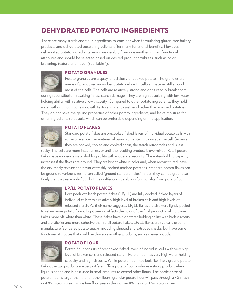### DEHYDRATED POTATO INGREDIENTS

There are many starch and flour ingredients to consider when formulating gluten-free bakery products and dehydrated potato ingredients offer many functional benefits . However, dehydrated potato ingredients vary considerably from one another in their functional attributes and should be selected based on desired product attributes, such as color, browning, texture and flavor (see Table 1).

#### POTATO GRANULES

![](_page_7_Picture_3.jpeg)

Potato granules are a spray-dried slurry of cooked potato. The granules are made of precooked individual potato cells with cellular material still around most of the cells . The cells are relatively strong and don't readily break apart

during reconstitution, resulting in less starch damage . They are high absorbing with low waterholding ability with relatively low viscosity . Compared to other potato ingredients, they hold water without much cohesion, with texture similar to wet sand rather than mashed potatoes. They do not have the gelling properties of other potato ingredients, and leave moisture for other ingredients to absorb, which can be preferable depending on the application.

#### POTATO FLAKES

![](_page_7_Picture_7.jpeg)

Standard potato flakes are precooked flaked layers of individual potato cells with some broken cellular material, allowing some starch to escape the cell. Because they are cooked, cooled and cooked again, the starch retrogrades and is less

sticky. The cells are more intact unless or until the resulting product is overmixed. Retail potato flakes have moderate water-holding ability with moderate viscosity . The water-holding capacity increases if the flakes are ground. They are bright white in color and, when reconstituted, have the dry, mealy texture and flavor of freshly cooked mashed potatoes . Standard potato flakes can be ground to various sizes—often called "ground standard flake ." In fact, they can be ground so finely that they resemble flour, but they differ considerably in functionality from potato flour.

#### LP/LL POTATO FLAKES

Low-peel/low-leach potato flakes (LP/LL) are fully cooked, flaked layers of individual cells with a relatively high level of broken cells and high levels of released starch. As their name suggests, LP/LL flakes are also very lightly peeled

to retain more potato flavor. Light peeling affects the color of the final product, making these flakes more off-white than white. These flakes have high water-holding ability with high viscosity and are stickier and more cohesive than retail potato flakes . LP/LL flakes are typically used to manufacture fabricated potato snacks, including sheeted and extruded snacks, but have some functional attributes that could be desirable in other products, such as baked goods.

![](_page_7_Picture_14.jpeg)

#### POTATO FLOUR

Potato flour consists of precooked flaked layers of individual cells with very high level of broken cells and released starch. Potato flour has very high water-holding capacity and high viscosity . While potato flour may look like finely ground potato

flakes, the two products are very different. True potato flour produces a sticky product when liquid is added and is best used in small amounts to extend other flours. The particle size of potato flour is larger than that of other flours; granular potato flour will pass through a 40-mesh, or 420-micron screen, while fine flour passes through an 80-mesh, or 177-micron screen .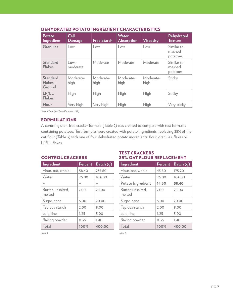| Potato<br>Ingredient                  | Cell<br><b>Damage</b> | <b>Free Starch</b> | Water<br>Absorption | <b>Viscosity</b>  | <b>Rehydrated</b><br><b>Texture</b> |
|---------------------------------------|-----------------------|--------------------|---------------------|-------------------|-------------------------------------|
| Granules                              | Low                   | Low                | Low                 | Low               | Similar to<br>mashed<br>potatoes    |
| <b>Standard</b><br><b>Flakes</b>      | $Low-$<br>moderate    | Moderate           | Moderate            | Moderate          | Similar to<br>mashed<br>potatoes    |
| <b>Standard</b><br>Flakes –<br>Ground | Moderate-<br>high     | Moderate-<br>high  | Moderate-<br>high   | Moderate-<br>high | Sticky                              |
| LP/LL<br><b>Flakes</b>                | High                  | High               | High                | High              | Sticky                              |
| Flour                                 | Very high             | Very high          | High                | High              | Very sticky                         |

#### DEHYDRATED POTATO INGREDIENT CHARACTERISTICS

*Table 1 (modified from Potatoes USA)*

#### FORMULATIONS

A control gluten-free cracker formula (Table 2) was created to compare with test formulas containing potatoes. Test formulas were created with potato ingredients, replacing 25% of the oat flour (Table 3) with one of four dehydrated potato ingredients: flour, granules, flakes or LP/LL flakes.

#### CONTROL CRACKERS

| Ingredient                  | Percent | Batch(g) |
|-----------------------------|---------|----------|
| Flour, oat, whole           | 58.40   | 233.60   |
| Water                       | 26.00   | 104.00   |
|                             |         |          |
| Butter, unsalted,<br>melted | 7.00    | 28.00    |
| Sugar, cane                 | 5.00    | 20.00    |
| Tapioca starch              | 2.00    | 8.00     |
| Salt, fine                  | 1.25    | 5.00     |
| Baking powder               | 0.35    | 1.40     |
| Total                       | 100%    | 400.00   |

#### TEST CRACKERS 25% OAT FLOUR REPLACEMENT

| Ingredient                  | Percent | Batch (g) |
|-----------------------------|---------|-----------|
| Flour, oat, whole           | 43.80   | 175.20    |
| Water                       | 26.00   | 104.00    |
| Potato Ingredient           | 14.60   | 58.40     |
| Butter, unsalted,<br>melted | 7.00    | 28.00     |
| Sugar, cane                 | 5.00    | 20.00     |
| Tapioca starch              | 2.00    | 8.00      |
| Salt, fine                  | 1.25    | 5.00      |
| Baking powder               | 0.35    | 1.40      |
| <b>Total</b>                | 100%    | 400.00    |

*Table 2*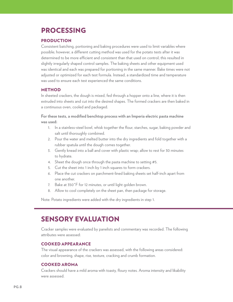### PROCESSING

#### PRODUCTION

Consistent batching, portioning and baking procedures were used to limit variables where possible; however, a different cutting method was used for the potato tests after it was determined to be more efficient and consistent than that used on control; this resulted in slightly irregularly shaped control samples . The baking sheets and other equipment used was identical and each was prepared for portioning in the same manner . Bake times were not adjusted or optimized for each test formula . Instead, a standardized time and temperature was used to ensure each test experienced the same conditions.

#### METHOD

In sheeted crackers, the dough is mixed, fed through a hopper onto a line, where it is then extruded into sheets and cut into the desired shapes . The formed crackers are then baked in a continuous oven, cooled and packaged.

**For these tests, a modified benchtop process with an Imperia electric pasta machine was used:** 

- 1 . In a stainless-steel bowl, whisk together the flour, starches, sugar, baking powder and salt until thoroughly combined.
- 2. Pour the water and melted butter into the dry ingredients and fold together with a rubber spatula until the dough comes together.
- 3. Gently knead into a ball and cover with plastic wrap; allow to rest for 30 minutes to hydrate.
- 4. Sheet the dough once through the pasta machine to setting #5.
- 5. Cut the sheet into 1 inch by 1 inch squares to form crackers.
- 6 . Place the cut crackers on parchment-lined baking sheets set half-inch apart from one another .
- 7. Bake at 350°F for 12 minutes, or until light golden brown.
- 8. Allow to cool completely on the sheet pan, then package for storage.

Note: Potato ingredients were added with the dry ingredients in step 1.

### SENSORY EVALUATION

Cracker samples were evaluated by panelists and commentary was recorded . The following attributes were assessed:

#### COOKED APPEARANCE

The visual appearance of the crackers was assessed, with the following areas considered: color and browning, shape, rise, texture, cracking and crumb formation.

#### COOKED AROMA

Crackers should have a mild aroma with toasty, floury notes . Aroma intensity and likability were assessed .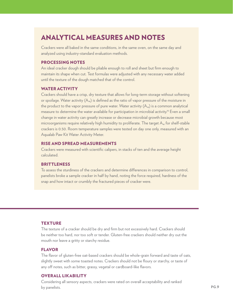### ANALYTICAL MEASURES AND NOTES

Crackers were all baked in the same conditions, in the same oven, on the same day and analyzed using industry-standard evaluation methods.

#### PROCESSING NOTES

An ideal cracker dough should be pliable enough to roll and sheet but firm enough to maintain its shape when cut. Test formulas were adjusted with any necessary water added until the texture of the dough matched that of the control.

#### WATER ACTIVITY

Crackers should have a crisp, dry texture that allows for long-term storage without softening or spoilage. Water activity  $(A_w)$  is defined as the ratio of vapor pressure of the moisture in the product to the vapor pressure of pure water. Water activity  $(A_w)$  is a common analytical measure to determine the water available for participation in microbial activity.<sup>10</sup> Even a small change in water activity can greatly increase or decrease microbial growth because most microorganisms require relatively high humidity to proliferate. The target  $A_w$  for shelf-stable crackers is 0 .50 . Room temperature samples were tested on day one only, measured with an Aqualab Paw Kit Water Activity Meter.

#### RISE AND SPREAD MEASUREMENTS

Crackers were measured with scientific calipers, in stacks of ten and the average height calculated.

#### BRITTLENESS

To assess the sturdiness of the crackers and determine differences in comparison to control, panelists broke a sample cracker in half by hand, noting the force required, hardness of the snap and how intact or crumbly the fractured pieces of cracker were.

#### **TEXTURE**

The texture of a cracker should be dry and firm but not excessively hard. Crackers should be neither too hard, nor too soft or tender. Gluten-free crackers should neither dry out the mouth nor leave a gritty or starchy residue.

#### FLAVOR

The flavor of gluten-free oat-based crackers should be whole-grain forward and taste of oats, slightly sweet with some toasted notes . Crackers should not be floury or starchy, or taste of any off notes, such as bitter, grassy, vegetal or cardboard-like flavors.

#### OVERALL LIKABILITY

Considering all sensory aspects, crackers were rated on overall acceptability and ranked by panelists.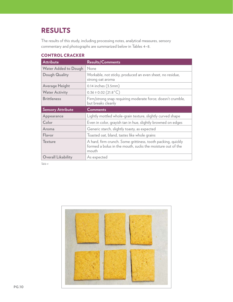### RESULTS

The results of this study, including processing notes, analytical measures, sensory commentary and photographs are summarized below in Tables 4–8 .

#### CONTROL CRACKER

| <b>Attribute</b>            | Results/Comments                                                                                                           |
|-----------------------------|----------------------------------------------------------------------------------------------------------------------------|
| <b>Water Added to Dough</b> | None                                                                                                                       |
| <b>Dough Quality</b>        | Workable, not sticky, produced an even sheet, no residue,<br>strong oat aroma                                              |
| <b>Average Height</b>       | 0.14 inches (3.5mm)                                                                                                        |
| <b>Water Activity</b>       | $0.36 \pm 0.02$ (21.8 °C)                                                                                                  |
| <b>Brittleness</b>          | Firm/strong snap requiring moderate force; doesn't crumble,<br>but breaks cleanly                                          |
| <b>Sensory Attribute</b>    | <b>Comments</b>                                                                                                            |
| Appearance                  | Lightly mottled whole-grain texture, slightly curved shape                                                                 |
| Color                       | Even in color, grayish tan in hue, slightly browned on edges                                                               |
| Aroma                       | Generic starch, slightly toasty, as expected                                                                               |
| Flavor                      | Toasted oat, bland, tastes like whole grains                                                                               |
| <b>Texture</b>              | A hard, firm crunch. Some grittiness, tooth packing, quickly<br>formed a bolus in the mouth, sucks the moisture out of the |
|                             | mouth                                                                                                                      |

![](_page_11_Picture_5.jpeg)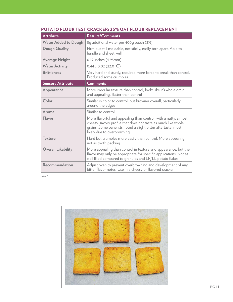| <b>Attribute</b>            | Results/Comments                                                                                                                                                                                                                |
|-----------------------------|---------------------------------------------------------------------------------------------------------------------------------------------------------------------------------------------------------------------------------|
| <b>Water Added to Dough</b> | 8q additional water per 400g batch (2%)                                                                                                                                                                                         |
| <b>Dough Quality</b>        | Firm but still moldable, not sticky, easily torn apart. Able to<br>handle and sheet well                                                                                                                                        |
| <b>Average Height</b>       | 0.19 inches (4.93mm)                                                                                                                                                                                                            |
| <b>Water Activity</b>       | $0.44 \pm 0.02$ (22.0 °C)                                                                                                                                                                                                       |
| <b>Brittleness</b>          | Very hard and sturdy, required more force to break than control.<br>Produced some crumbles                                                                                                                                      |
| <b>Sensory Attribute</b>    | <b>Comments</b>                                                                                                                                                                                                                 |
| Appearance                  | More irregular texture than control, looks like it's whole grain<br>and appealing, flatter than control                                                                                                                         |
| Color                       | Similar in color to control, but browner overall, particularly<br>around the edges                                                                                                                                              |
| Aroma                       | Similar to control                                                                                                                                                                                                              |
| Flavor                      | More flavorful and appealing than control, with a nutty, almost<br>cheesy, savory profile that does not taste as much like whole<br>grains. Some panelists noted a slight bitter aftertaste, most<br>likely due to overbrowning |
| Texture                     | Hard but crumbles more easily than control. More appealing,<br>not as tooth packing                                                                                                                                             |
| <b>Overall Likability</b>   | More appealing than control in texture and appearance, but the<br>flavor may only be appropriate for specific applications. Not as<br>well liked compared to granules and LP/LL potato flakes                                   |
| Recommendation              | Adjust oven to prevent overbrowning and development of any<br>bitter flavor notes. Use in a cheesy or flavored cracker                                                                                                          |

### POTATO FLOUR TEST CRACKER: 25% OAT FLOUR REPLACEMENT

![](_page_12_Picture_3.jpeg)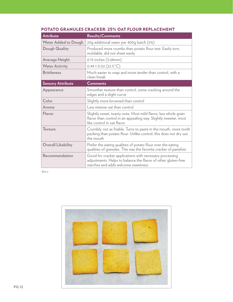| <b>Attribute</b>            | <b>Results/Comments</b>                                                                                                                                          |
|-----------------------------|------------------------------------------------------------------------------------------------------------------------------------------------------------------|
| <b>Water Added to Dough</b> | 20g additional water per 400g batch (5%)                                                                                                                         |
| <b>Dough Quality</b>        | Produced more crumbs than potato flour test. Easily torn,<br>moldable, did not sheet easily                                                                      |
| <b>Average Height</b>       | 0.15 inches (3.68mm)                                                                                                                                             |
| <b>Water Activity</b>       | $0.49 \pm 0.02 (22.5^{\circ} \text{C})$                                                                                                                          |
| <b>Brittleness</b>          | Much easier to snap and more tender than control, with a<br>clean break                                                                                          |
| <b>Sensory Attribute</b>    | <b>Comments</b>                                                                                                                                                  |
| Appearance                  | Smoother texture than control, some cracking around the<br>edges and a slight curve                                                                              |
| Color                       | Slightly more browned than control                                                                                                                               |
| Aroma                       | Less intense oat than control                                                                                                                                    |
| Flavor                      | Slightly sweet, toasty note. Most mild flavor, less whole grain<br>flavor than control in an appealing way. Slightly sweeter, most<br>like control in oat flavor |
| Texture                     | Crumbly, not as friable. Turns to paste in the mouth, more tooth<br>packing than potato flour. Unlike control, this does not dry out<br>the mouth                |
| <b>Overall Likability</b>   | Prefer the eating qualities of potato flour over the eating<br>qualities of granules. This was the favorite cracker of panelists                                 |
| Recommendation              | Good for cracker applications with necessary processing<br>adjustments. Helps to balance the flavor of other gluten-free<br>starches and adds welcome sweetness  |

### POTATO GRANULES CRACKER: 25% OAT FLOUR REPLACEMENT

![](_page_13_Picture_3.jpeg)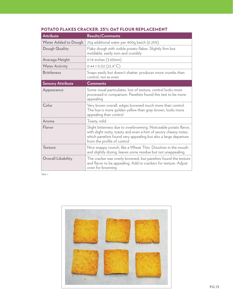| <b>Attribute</b>            | <b>Results/Comments</b>                                                                                                                                                                                                                 |
|-----------------------------|-----------------------------------------------------------------------------------------------------------------------------------------------------------------------------------------------------------------------------------------|
| <b>Water Added to Dough</b> | 25q additional water per 400g batch (6.25%)                                                                                                                                                                                             |
| <b>Dough Quality</b>        | Flaky dough with visible potato flakes. Slightly firm but<br>moldable, easily torn and crumbly                                                                                                                                          |
| <b>Average Height</b>       | 0.14 inches (3.63mm)                                                                                                                                                                                                                    |
| <b>Water Activity</b>       | $0.44 \pm 0.02$ (22.4 °C)                                                                                                                                                                                                               |
| <b>Brittleness</b>          | Snaps easily but doesn't shatter, produces more crumbs than<br>control, not as even                                                                                                                                                     |
| <b>Sensory Attribute</b>    | <b>Comments</b>                                                                                                                                                                                                                         |
| Appearance                  | Some visual particulates, lots of texture, control looks more<br>processed in comparison. Panelists found this test to be more<br>appealing                                                                                             |
| Color                       | Very brown overall, edges browned much more than control.<br>The hue is more golden yellow than gray-brown, looks more<br>appealing than control                                                                                        |
| Aroma                       | Toasty, mild                                                                                                                                                                                                                            |
| Flavor                      | Slight bitterness due to overbrowning. Noticeable potato flavor,<br>with slight nutty, toasty and even a hint of savory cheesy notes,<br>which panelists found very appealing but also a large departure<br>from the profile of control |
| <b>Texture</b>              | Nice snappy crunch, like a Wheat Thin. Dissolves in the mouth<br>and slightly drying, leaves some residue but not unappealing                                                                                                           |
| <b>Overall Likability</b>   | The cracker was overly browned, but panelists found the texture<br>and flavor to be appealing. Add to crackers for texture. Adjust<br>oven for browning                                                                                 |

#### POTATO FLAKES CRACKER: 25% OAT FLOUR REPLACEMENT

![](_page_14_Picture_3.jpeg)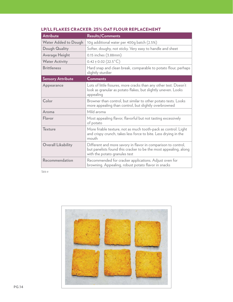| <b>Attribute</b>            | <b>Results/Comments</b>                                                                                                                                            |
|-----------------------------|--------------------------------------------------------------------------------------------------------------------------------------------------------------------|
| <b>Water Added to Dough</b> | 10g additional water per 400g batch (2.5%)                                                                                                                         |
| <b>Dough Quality</b>        | Softer, doughy, not sticky. Very easy to handle and sheet                                                                                                          |
| <b>Average Height</b>       | 0.15 inches (3.88mm)                                                                                                                                               |
| <b>Water Activity</b>       | $0.42 \pm 0.02 (22.5 °C)$                                                                                                                                          |
| <b>Brittleness</b>          | Hard snap and clean break, comparable to potato flour, perhaps<br>slightly sturdier                                                                                |
| <b>Sensory Attribute</b>    | <b>Comments</b>                                                                                                                                                    |
| Appearance                  | Lots of little fissures, more cracks than any other test. Doesn't<br>look as granular as potato flakes, but slightly uneven. Looks<br>appealing                    |
| Color                       | Browner than control, but similar to other potato tests. Looks<br>more appealing than control, but slightly overbrowned                                            |
| Aroma                       | Mild aroma                                                                                                                                                         |
| Flavor                      | Most appealing flavor, flavorful but not tasting excessively<br>of potato                                                                                          |
| <b>Texture</b>              | More friable texture, not as much tooth-pack as control. Light<br>and crispy crunch, takes less force to bite. Less drying in the<br>mouth                         |
| <b>Overall Likability</b>   | Different and more savory in flavor in comparison to control,<br>but panelists found this cracker to be the most appealing, along<br>with the potato granules test |
| Recommendation              | Recommended for cracker applications. Adjust oven for<br>browning. Appealing, robust potato flavor in snacks                                                       |

#### LP/LL FLAKES CRACKER: 25% OAT FLOUR REPLACEMENT

![](_page_15_Picture_3.jpeg)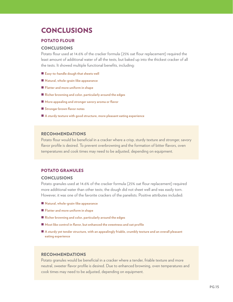### **CONCLUSIONS**

#### POTATO FLOUR

#### **CONCLUSIONS**

Potato flour used at 14.6% of the cracker formula (25% oat flour replacement) required the least amount of additional water of all the tests, but baked up into the thickest cracker of all the tests . It showed multiple functional benefits, including:

- **Easy-to-handle dough that sheets well**
- **Natural, whole-grain-like appearance**
- **Flatter and more uniform in shape**
- **Richer browning and color, particularly around the edges**
- **More appealing and stronger savory aroma or flavor**
- **Stronger brown flavor notes**
- **A sturdy texture with good structure, more pleasant eating experience**

#### RECOMMENDATIONS

Potato flour would be beneficial in a cracker where a crisp, sturdy texture and stronger, savory flavor profile is desired. To prevent overbrowning and the formation of bitter flavors, oven temperatures and cook times may need to be adjusted, depending on equipment.

#### POTATO GRANULES

#### **CONCLUSIONS**

Potato granules used at 14 .6% of the cracker formula (25% oat flour replacement) required more additional water than other tests; the dough did not sheet well and was easily torn. However, it was one of the favorite crackers of the panelists. Positive attributes included:

- **Natural, whole-grain-like appearance**
- **Flatter and more uniform in shape**
- **Richer browning and color, particularly around the edges**
- **Most like control in flavor, but enhanced the sweetness and oat profile**
- **A sturdy yet tender structure, with an appealingly friable, crumbly texture and an overall pleasant eating experience**

#### RECOMMENDATIONS

Potato granules would be beneficial in a cracker where a tender, friable texture and more neutral, sweeter flavor profile is desired. Due to enhanced browning, oven temperatures and cook times may need to be adjusted, depending on equipment.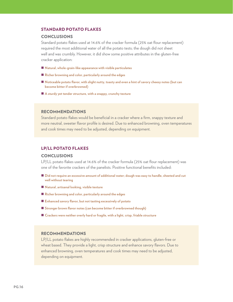#### STANDARD POTATO FLAKES

#### **CONCLUSIONS**

Standard potato flakes used at 14 .6% of the cracker formula (25% oat flour replacement) required the most additional water of all the potato tests; the dough did not sheet well and was crumbly. However, it did show some positive attributes in the gluten-free cracker application:

- **Natural, whole-grain-like appearance with visible particulates**
- **Richer browning and color, particularly around the edges**
- **Noticeable potato flavor, with slight nutty, toasty and even a hint of savory cheesy notes (but can become bitter if overbrowned)**
- **A sturdy yet tender structure, with a snappy, crunchy texture**

#### RECOMMENDATIONS

Standard potato flakes would be beneficial in a cracker where a firm, snappy texture and more neutral, sweeter flavor profile is desired . Due to enhanced browning, oven temperatures and cook times may need to be adjusted, depending on equipment.

#### LP/LL POTATO FLAKES

#### CONCLUSIONS

LP/LL potato flakes used at 14 .6% of the cracker formula (25% oat flour replacement) was one of the favorite crackers of the panelists. Positive functional benefits included:

- **Did not require an excessive amount of additional water; dough was easy to handle, sheeted and cut well without tearing**
- **Natural, artisanal looking, visible texture**
- **Richer browning and color, particularly around the edges**
- **Enhanced savory flavor, but not tasting excessively of potato**
- **Stronger brown flavor notes (can become bitter if overbrowned though)**
- **Crackers were neither overly hard or fragile, with a light, crisp, friable structure**

#### RECOMMENDATIONS

LP/LL potato flakes are highly recommended in cracker applications, gluten-free or wheat based. They provide a light, crisp structure and enhance savory flavors. Due to enhanced browning, oven temperatures and cook times may need to be adjusted, depending on equipment.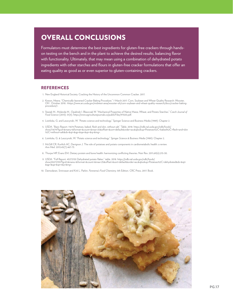### OVERALL CONCLUSIONS

Formulators must determine the best ingredients for gluten-free crackers through handson testing on the bench and in the plant to achieve the desired results, balancing flavor with functionality. Ultimately, that may mean using a combination of dehydrated potato ingredients with other starches and flours in gluten-free cracker formulations that offer an eating quality as good as or even superior to gluten-containing crackers.

#### REFERENCES

- 1. New England Historical Society. Cracking the History of the Uncommon Common Cracker. 2017.
- 2. Kweon, Meera. "Chemically-leavened Cracker Baking Procedure." 7 March 2017. Corn, Soybean and Wheat Quality Research: Wooster,<br>- OH . October 2018. <https://www.ars.usda.gov/midwest-area/wooster-oh/corn-soybean-and-whea procedure/> .
- 3. Stasiak M., Molenda M., Opalinski I. Blaszczak W. "Mechanical Properties of Native Maize, Wheat, and Potato Starches." Czech Journal of<br>Food Science (2013): 31(4). https://www.agriculturejournals.cz/publicFiles/97020.pd
- 4. Lisinkska, G. and Leszcynski, W. "Potato science and technology." Spinger Science and Business Media (1989): Chapter 2.
- 5. USDA. "Basic Report: 11674 Potatoes, baked, flesh and skin, without salt." Table. 2018. https://ndb.nal.usda.gov/ndb/foods/<br>show/11674?fgcd=&manu=&format=&count=&max=25&offset=&sort=default&order=asc&qlookup=Potatoes%2C %2C+without+salt&ds=&qt=&qp=&qa=&qn=&q=&ing= .
- 6 . Lisinkska, G . & Leszcynski, W . "Potato science and technology ." *Spinger Science & Business Media* (1989): Chapter 2 .
- 7. McGill CR, Kurilich AC, Davignon J. The role of potatoes and potato components in cardiometabolic health: a review. *Ann Med.* 2013;45(7):467-73 .
- 8 . Thorpe MP, Evans EM . Dietary protein and bone health: harmonizing conflicting theories . Nutr Rev . 2011;69(4):215-30 .
- 9. USDA. "Full Report: 45272155 Dehydrated potato flakes." table. 2018. https://ndb.nal.usda.gov/ndb/foods/ show/45272155?fgcd=&manu=&format=&count=&max=25&offset=&sort=default&order=asc&qlookup=Potatoes%2C+dehydrated&ds=&qt= &qp=&qa=&qn=&q=&ing= .
- 10. Damodaran, Srinivasan and Kirk L. Parkin. Fennema's Food Chemistry, 5th Edition. CRC Press, 2017. Book.

![](_page_18_Picture_13.jpeg)